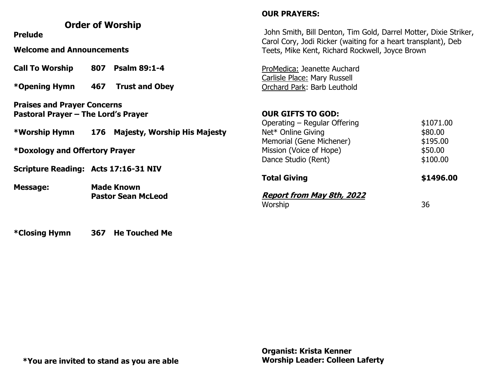## **Order of Worship Prelude Welcome and Announcements Call To Worship 807 Psalm 89:1-4 \*Opening Hymn 467 Trust and Obey Praises and Prayer Concerns Pastoral Prayer – The Lord's Prayer \*Worship Hymn 176 Majesty, Worship His Majesty \*Doxology and Offertory Prayer Scripture Reading: Acts 17:16-31 NIV Message: Made Known Pastor Sean McLeod OUR PRAYERS:** John Smith, Bill Denton, Tim Gold, Darrel Motter, Dixie Striker, Carol Cory, Jodi Ricker (waiting for a heart transplant), Deb Teets, Mike Kent, Richard Rockwell, Joyce Brown ProMedica: Jeanette Auchard Carlisle Place: Mary Russell Orchard Park: Barb Leuthold **OUR GIFTS TO GOD:** Operating – Regular Offering  $$1071.00$ Net\* Online Giving by a state of the state state state state state state state state state state state state s Memorial (Gene Michener)  $$195.00$ Mission (Voice of Hope)  $$50.00$ Dance Studio (Rent)  $$100.00$ **Total Giving 81496.00 Report from May 8th, 2022**  Worship 36

**\*Closing Hymn 367 He Touched Me**